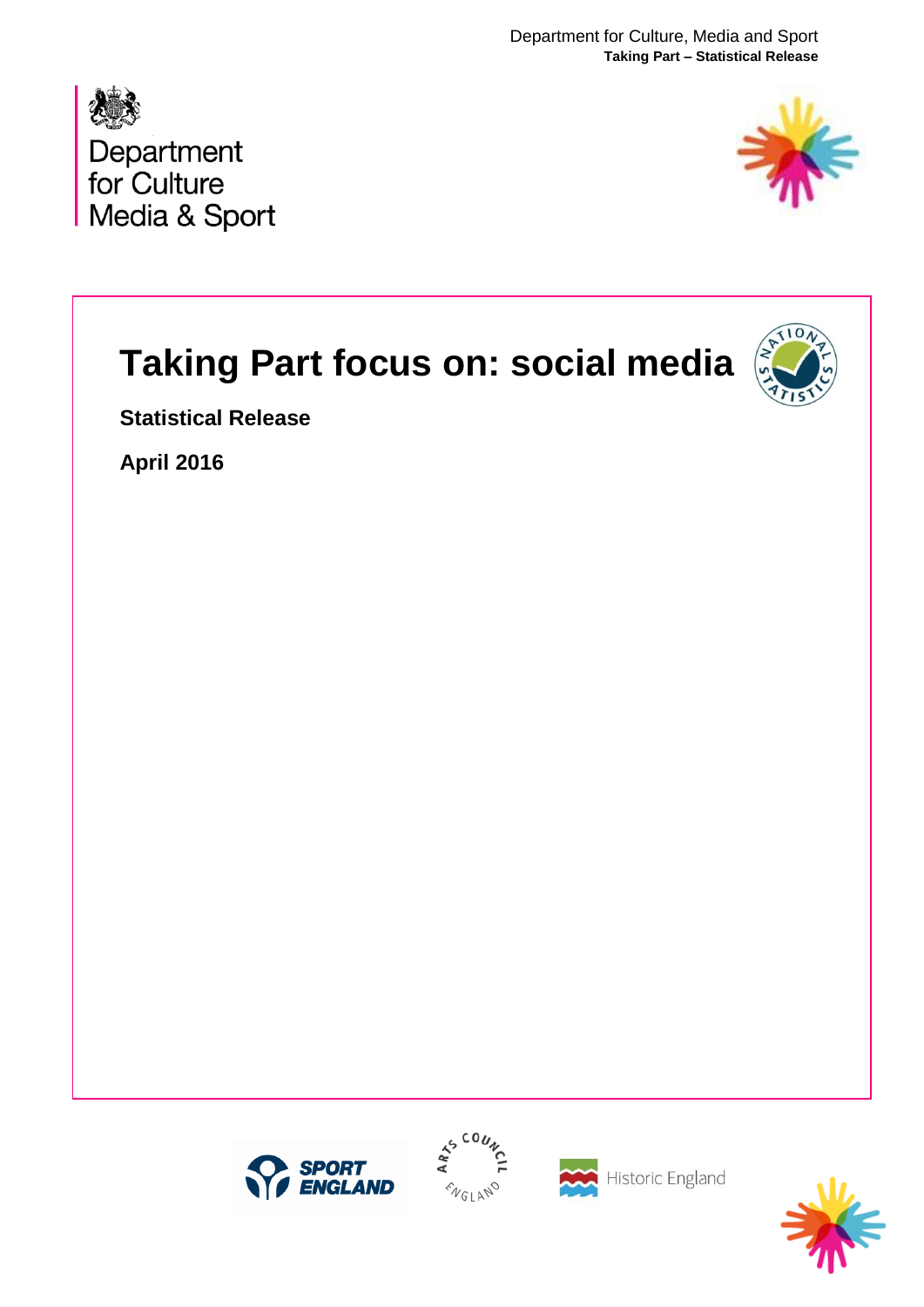Department for Culture, Media and Sport **Taking Part – Statistical Release**





# **Taking Part focus on: social media**



**Statistical Release**

**April 2016**







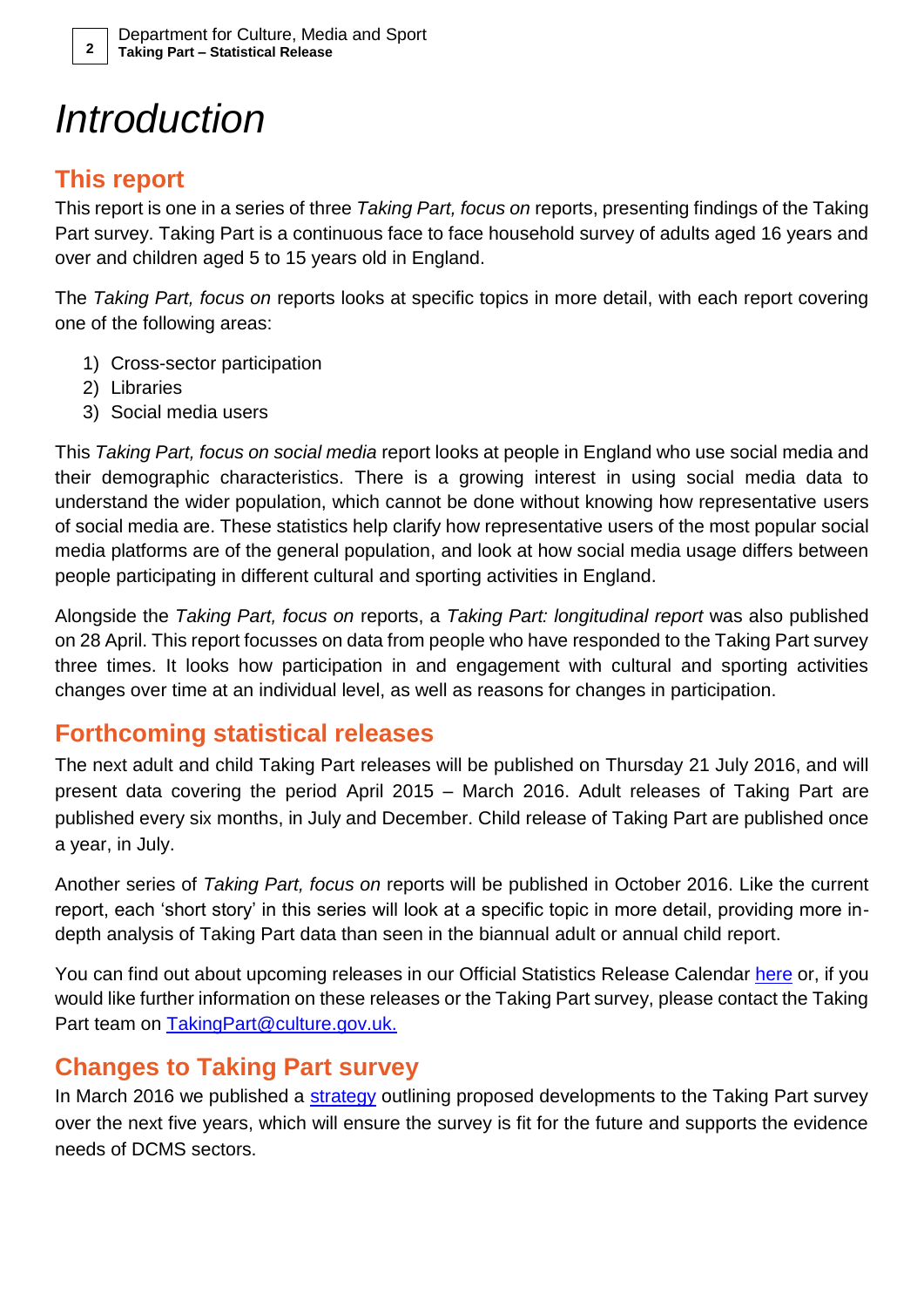### *Introduction*

### **This report**

This report is one in a series of three *Taking Part, focus on* reports, presenting findings of the Taking Part survey. Taking Part is a continuous face to face household survey of adults aged 16 years and over and children aged 5 to 15 years old in England.

The *Taking Part, focus on* reports looks at specific topics in more detail, with each report covering one of the following areas:

- 1) Cross-sector participation
- 2) Libraries
- 3) Social media users

This *Taking Part, focus on social media* report looks at people in England who use social media and their demographic characteristics. There is a growing interest in using social media data to understand the wider population, which cannot be done without knowing how representative users of social media are. These statistics help clarify how representative users of the most popular social media platforms are of the general population, and look at how social media usage differs between people participating in different cultural and sporting activities in England.

Alongside the *Taking Part, focus on* reports, a *Taking Part: longitudinal report* was also published on 28 April. This report focusses on data from people who have responded to the Taking Part survey three times. It looks how participation in and engagement with cultural and sporting activities changes over time at an individual level, as well as reasons for changes in participation.

### **Forthcoming statistical releases**

The next adult and child Taking Part releases will be published on Thursday 21 July 2016, and will present data covering the period April 2015 – March 2016. Adult releases of Taking Part are published every six months, in July and December. Child release of Taking Part are published once a year, in July.

Another series of *Taking Part, focus on* reports will be published in October 2016. Like the current report, each 'short story' in this series will look at a specific topic in more detail, providing more indepth analysis of Taking Part data than seen in the biannual adult or annual child report.

You can find out about upcoming releases in our Official Statistics Release Calendar [here](https://www.gov.uk/government/collections/statistics) or, if you would like further information on these releases or the Taking Part survey, please contact the Taking Part team on [TakingPart@culture.gov.uk.](mailto:TakingPart@culture.gov.uk)

### **Changes to Taking Part survey**

In March 2016 we published a [strategy](https://www.gov.uk/government/publications/taking-part-a-strategy-for-the-next-five-years) outlining proposed developments to the Taking Part survey over the next five years, which will ensure the survey is fit for the future and supports the evidence needs of DCMS sectors.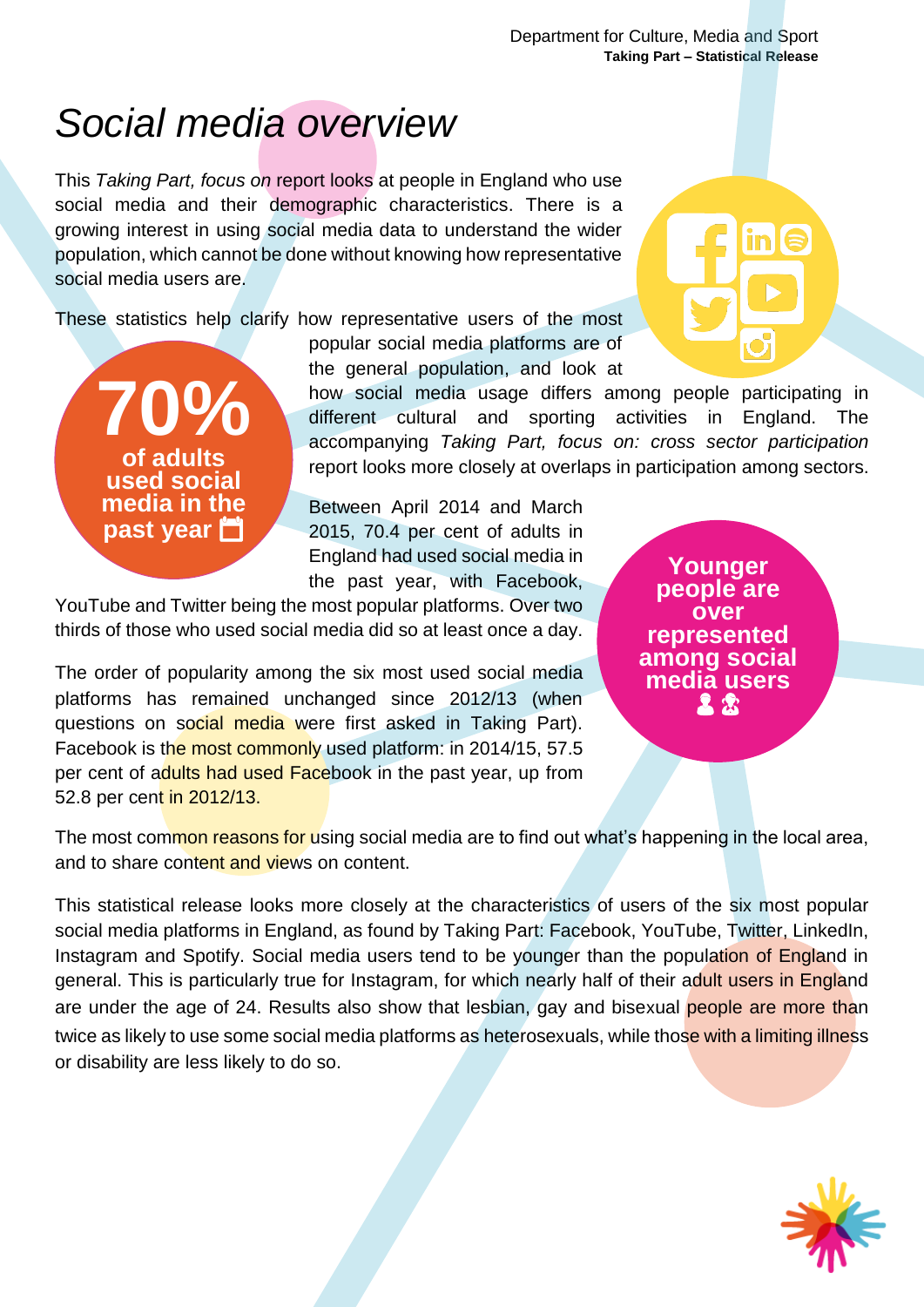### *Social media overview*

This *Taking Part, focus on* report looks at people in England who use social media and their demographic characteristics. There is a growing interest in using social media data to understand the wider population, which cannot be done without knowing how representative social media users are.

These statistics help clarify how representative users of the most



popular social media platforms are of the general population, and look at

how social media usage differs among people participating in different cultural and sporting activities in England. The accompanying *Taking Part, focus on: cross sector participation* report looks more closely at overlaps in participation among sectors.

Between April 2014 and March 2015, 70.4 per cent of adults in England had used social media in the past year, with Facebook,

YouTube and Twitter being the most popular platforms. Over two thirds of those who used social media did so at least once a day.

The order of popularity among the six most used social media platforms has remained unchanged since 2012/13 (when questions on social media were first asked in Taking Part). Facebook is the most commonly used platform: in 2014/15, 57.5 per cent of adults had used Facebook in the past year, up from 52.8 per cent in 2012/13.

**Younger people are over represented among social media users**  $22$ 

The most common reasons for using social media are to find out what's happening in the local area, and to share content and views on content.

This statistical release looks more closely at the characteristics of users of the six most popular social media platforms in England, as found by Taking Part: Facebook, YouTube, Twitter, LinkedIn, Instagram and Spotify. Social media users tend to be younger than the population of England in general. This is particularly true for Instagram, for which nearly half of their adult users in England are under the age of 24. Results also show that lesbian, gay and bisexual people are more than twice as likely to use some social media platforms as heterosexuals, while those with a limiting illness or disability are less likely to do so.

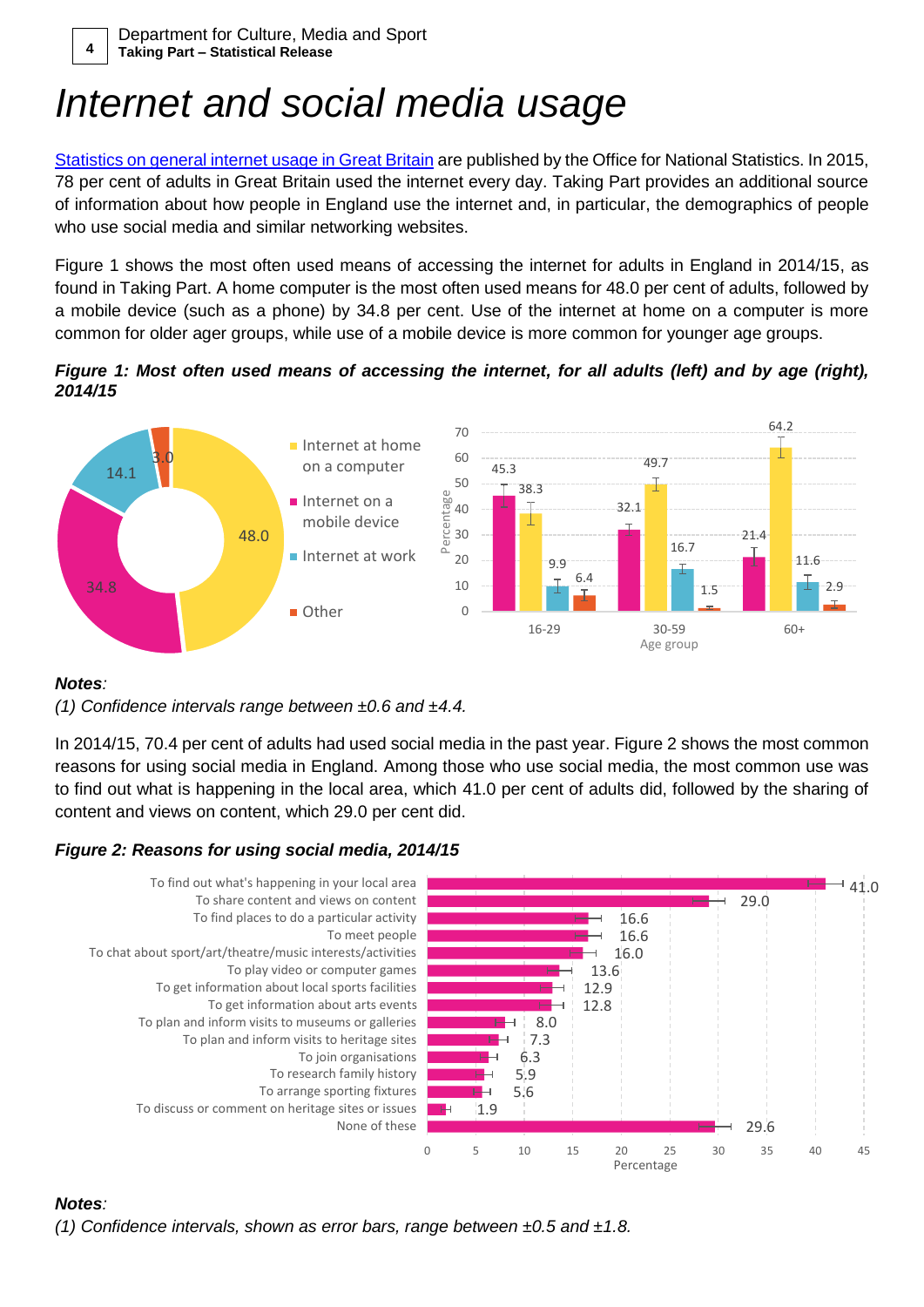## *Internet and social media usage*

[Statistics on general internet usage in Great Britain](http://www.ons.gov.uk/peoplepopulationandcommunity/householdcharacteristics/homeinternetandsocialmediausage/bulletins/internetaccesshouseholdsandindividuals/2015-08-06) are published by the Office for National Statistics. In 2015, 78 per cent of adults in Great Britain used the internet every day. Taking Part provides an additional source of information about how people in England use the internet and, in particular, the demographics of people who use social media and similar networking websites.

[Figure 1](#page-3-0) shows the most often used means of accessing the internet for adults in England in 2014/15, as found in Taking Part. A home computer is the most often used means for 48.0 per cent of adults, followed by a mobile device (such as a phone) by 34.8 per cent. Use of the internet at home on a computer is more common for older ager groups, while use of a mobile device is more common for younger age groups.

<span id="page-3-0"></span>*Figure 1: Most often used means of accessing the internet, for all adults (left) and by age (right), 2014/15*



#### *Notes:*

*(1) Confidence intervals range between ±0.6 and ±4.4.*

In 2014/15, 70.4 per cent of adults had used social media in the past year. [Figure 2](#page-3-1) shows the most common reasons for using social media in England. Among those who use social media, the most common use was to find out what is happening in the local area, which 41.0 per cent of adults did, followed by the sharing of content and views on content, which 29.0 per cent did.

#### <span id="page-3-1"></span>*Figure 2: Reasons for using social media, 2014/15*



#### *Notes:*

*(1) Confidence intervals, shown as error bars, range between ±0.5 and ±1.8.*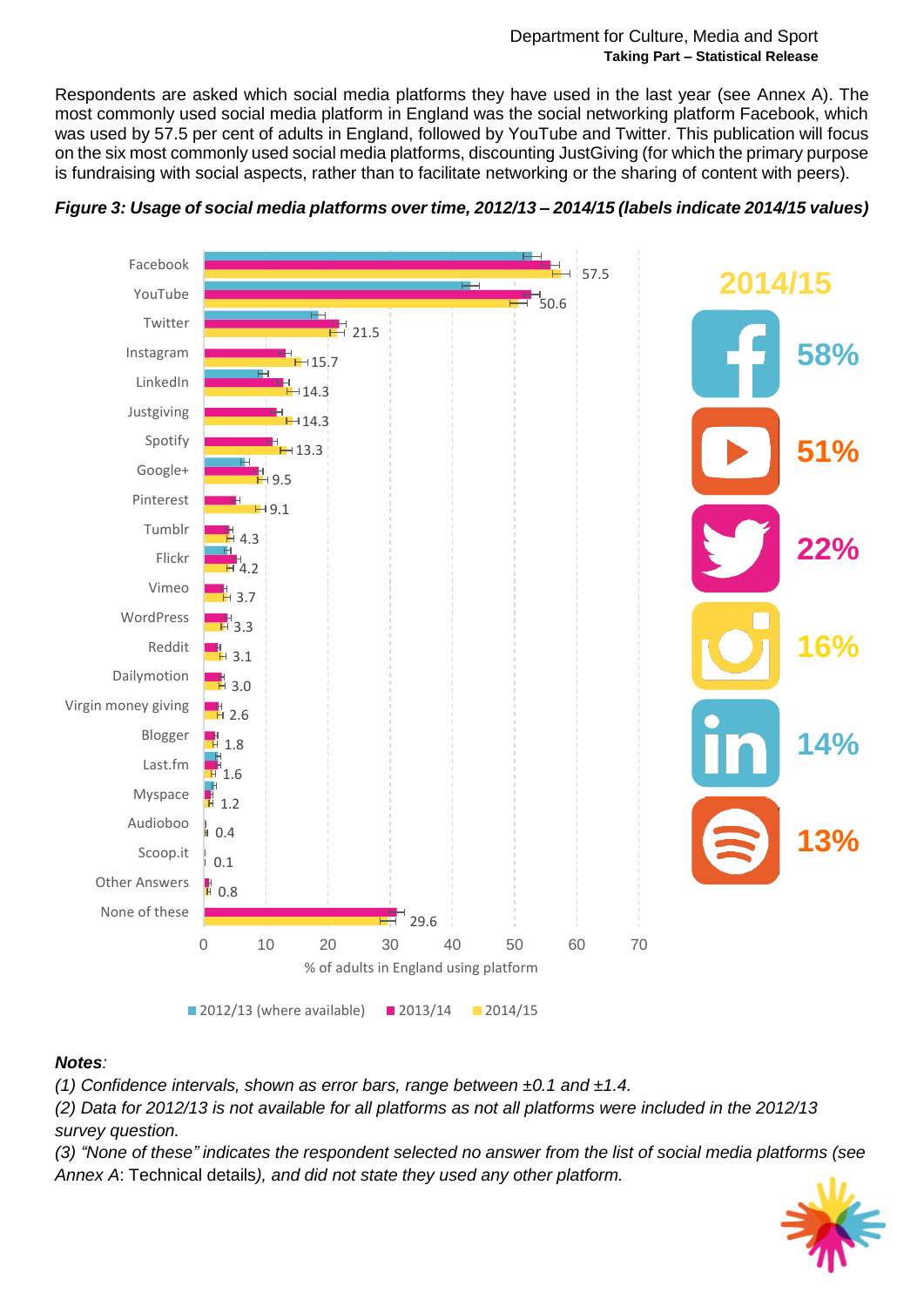Respondents are asked which social media platforms they have used in the last year (see Annex A). The most commonly used social media platform in England was the social networking platform Facebook, which was used by 57.5 per cent of adults in England, followed by YouTube and Twitter. This publication will focus on the six most commonly used social media platforms, discounting JustGiving (for which the primary purpose is fundraising with social aspects, rather than to facilitate networking or the sharing of content with peers).



<span id="page-4-0"></span>

#### *Notes:*

*(1) Confidence intervals, shown as error bars, range between ±0.1 and ±1.4.*

*(2) Data for 2012/13 is not available for all platforms as not all platforms were included in the 2012/13 survey question.*

*(3) "None of these" indicates the respondent selected no answer from the list of social media platforms (see Annex A*[: Technical details](#page-12-0)*), and did not state they used any other platform.*

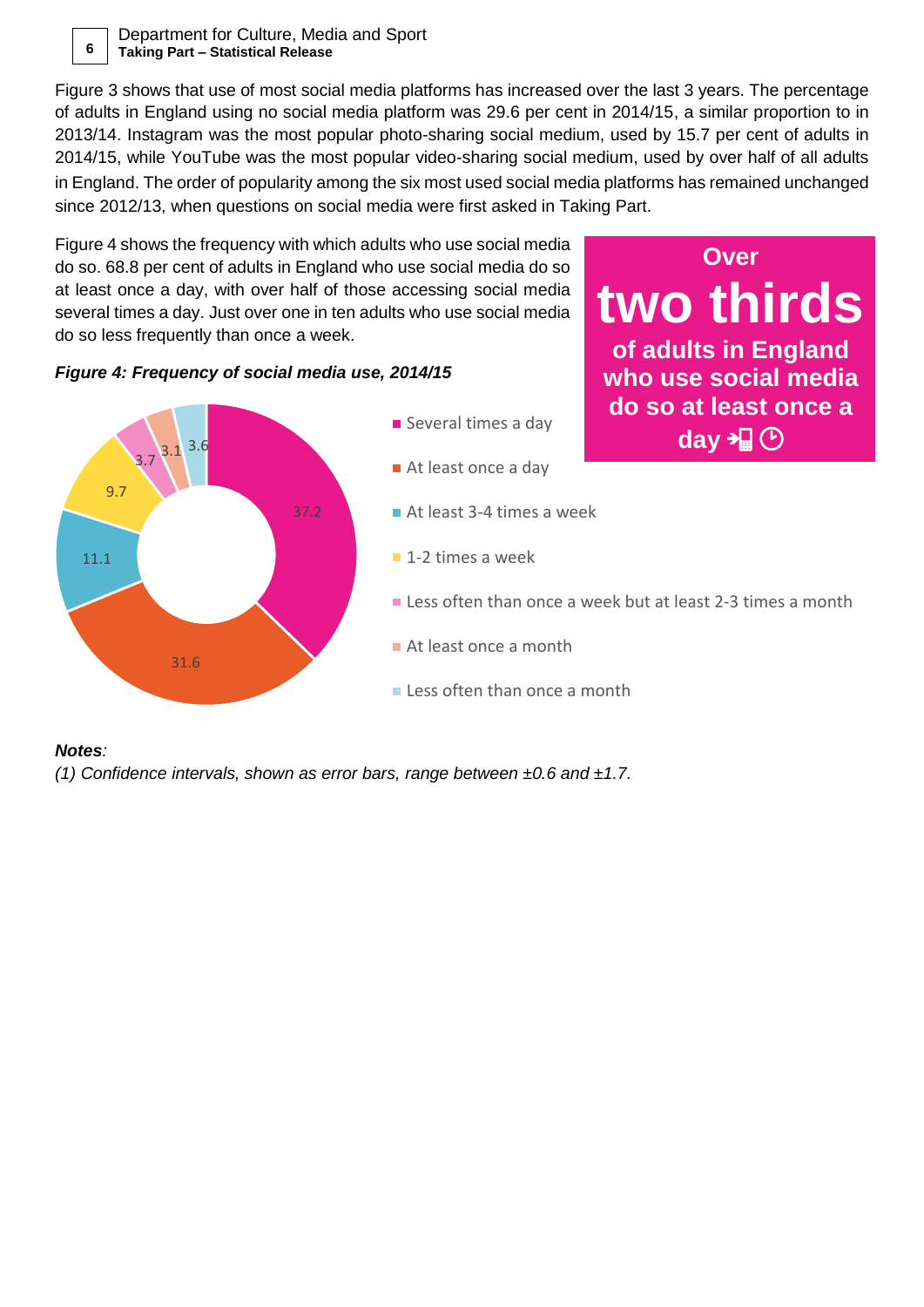Department for Culture, Media and Sport **6 Taking Part – Statistical Release**

[Figure 3](#page-4-0) shows that use of most social media platforms has increased over the last 3 years. The percentage of adults in England using no social media platform was 29.6 per cent in 2014/15, a similar proportion to in 2013/14. Instagram was the most popular photo-sharing social medium, used by 15.7 per cent of adults in 2014/15, while YouTube was the most popular video-sharing social medium, used by over half of all adults in England. The order of popularity among the six most used social media platforms has remained unchanged since 2012/13, when questions on social media were first asked in Taking Part.

**Over** 

**two thirds** 

**of adults in England** 

[Figure 4](#page-5-0) shows the frequency with which adults who use social media do so. 68.8 per cent of adults in England who use social media do so at least once a day, with over half of those accessing social media several times a day. Just over one in ten adults who use social media do so less frequently than once a week.

#### <span id="page-5-0"></span>*Figure 4: Frequency of social media use, 2014/15*



#### *Notes:*

*(1) Confidence intervals, shown as error bars, range between ±0.6 and ±1.7.*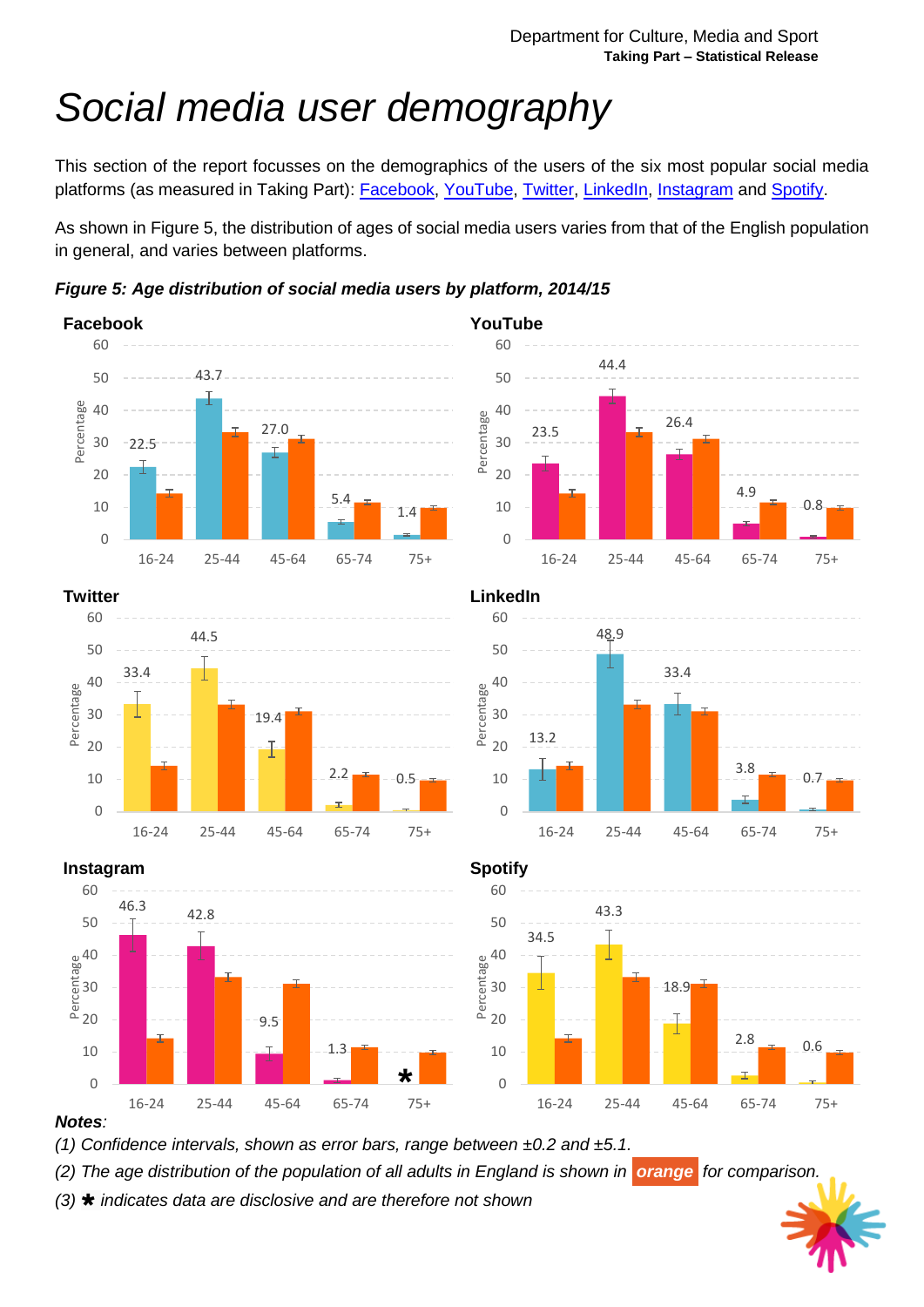# *Social media user demography*

This section of the report focusses on the demographics of the users of the six most popular social media platforms (as measured in Taking Part): **Facebook, [YouTube,](http://www.youtube.com/) [Twitter,](http://www.twitter.com/) [LinkedIn,](http://www.linkedin.com/) [Instagram](http://www.instagram.com/)** and [Spotify.](http://www.spotify.com/)

As shown in [Figure 5,](#page-6-0) the distribution of ages of social media users varies from that of the English population in general, and varies between platforms.

<span id="page-6-0"></span>*Figure 5: Age distribution of social media users by platform, 2014/15*

















#### *Notes:*

*(1) Confidence intervals, shown as error bars, range between ±0.2 and ±5.1.*

*(2) The age distribution of the population of all adults in England is shown in orange for comparison.*

*(3) indicates data are disclosive and are therefore not shown*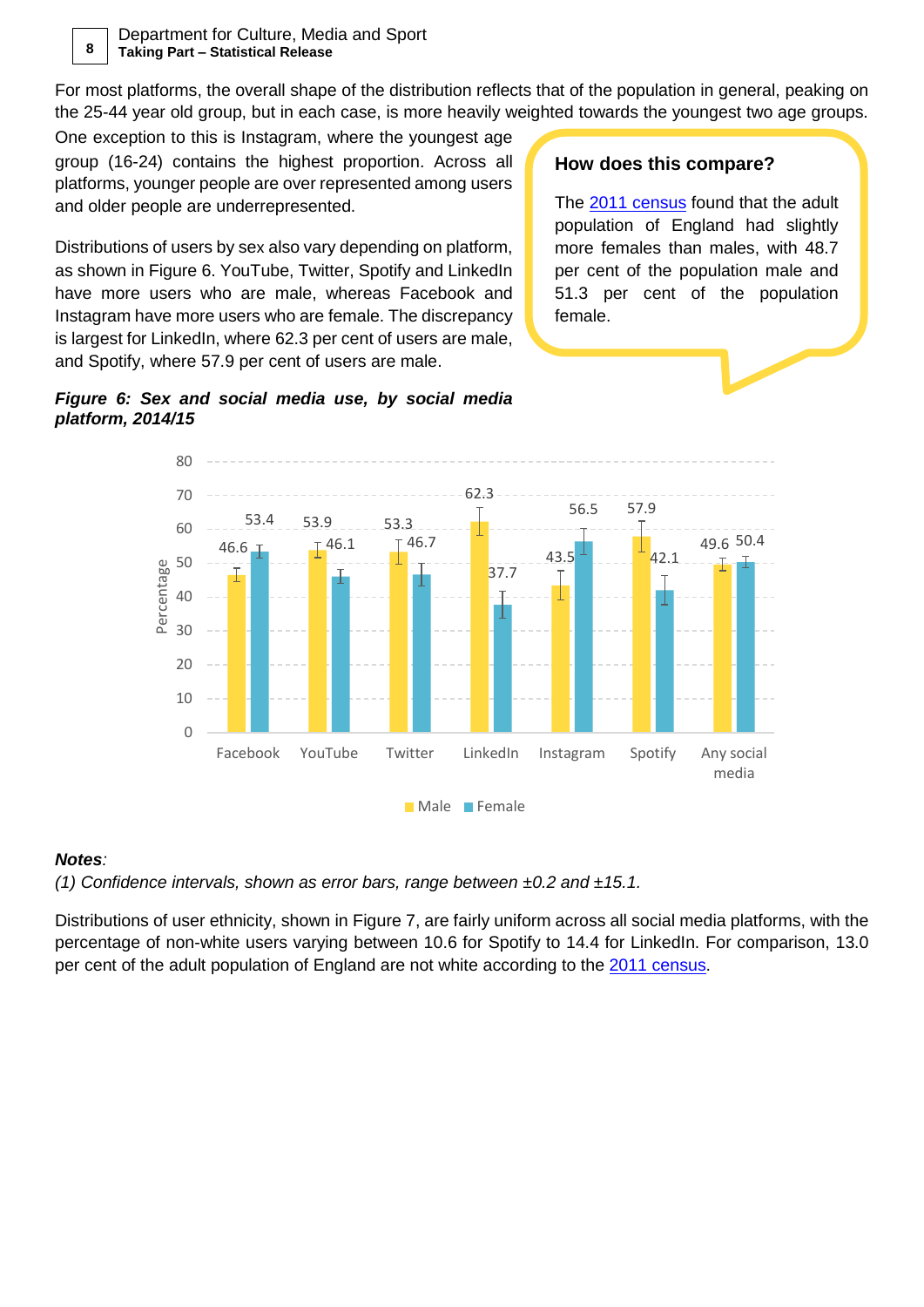Department for Culture, Media and Sport **8 Taking Part – Statistical Release**

For most platforms, the overall shape of the distribution reflects that of the population in general, peaking on the 25-44 year old group, but in each case, is more heavily weighted towards the youngest two age groups.

One exception to this is Instagram, where the youngest age group (16-24) contains the highest proportion. Across all platforms, younger people are over represented among users and older people are underrepresented.

Distributions of users by sex also vary depending on platform, as shown in [Figure 6.](#page-7-0) YouTube, Twitter, Spotify and LinkedIn have more users who are male, whereas Facebook and Instagram have more users who are female. The discrepancy is largest for LinkedIn, where 62.3 per cent of users are male, and Spotify, where 57.9 per cent of users are male.

#### **How does this compare?**

The [2011 census](https://www.ons.gov.uk/census/2011census) found that the adult population of England had slightly more females than males, with 48.7 per cent of the population male and 51.3 per cent of the population female.

<span id="page-7-0"></span>



#### *Notes:*

*(1) Confidence intervals, shown as error bars, range between ±0.2 and ±15.1.*

Distributions of user ethnicity, shown in [Figure 7,](#page-8-0) are fairly uniform across all social media platforms, with the percentage of non-white users varying between 10.6 for Spotify to 14.4 for LinkedIn. For comparison, 13.0 per cent of the adult population of England are not white according to the [2011 census.](https://www.ons.gov.uk/census/2011census)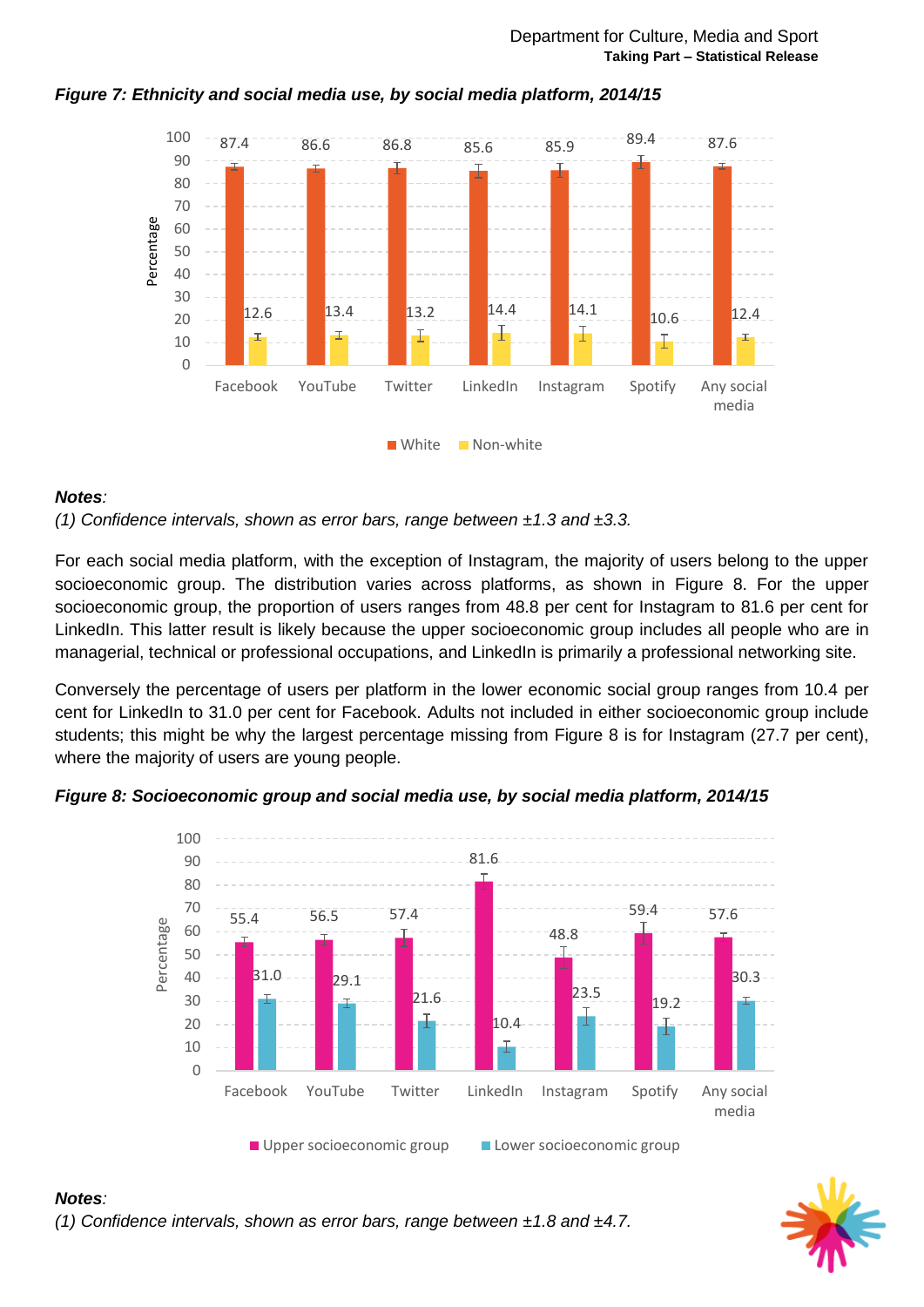

#### <span id="page-8-0"></span>*Figure 7: Ethnicity and social media use, by social media platform, 2014/15*

#### *Notes:*

*(1) Confidence intervals, shown as error bars, range between ±1.3 and ±3.3.*

For each social media platform, with the exception of Instagram, the majority of users belong to the upper socioeconomic group. The distribution varies across platforms, as shown in [Figure 8.](#page-8-1) For the upper socioeconomic group, the proportion of users ranges from 48.8 per cent for Instagram to 81.6 per cent for LinkedIn. This latter result is likely because the upper socioeconomic group includes all people who are in managerial, technical or professional occupations, and LinkedIn is primarily a professional networking site.

Conversely the percentage of users per platform in the lower economic social group ranges from 10.4 per cent for LinkedIn to 31.0 per cent for Facebook. Adults not included in either socioeconomic group include students; this might be why the largest percentage missing from [Figure 8](#page-8-1) is for Instagram (27.7 per cent), where the majority of users are young people.

<span id="page-8-1"></span>





#### *Notes: (1) Confidence intervals, shown as error bars, range between ±1.8 and ±4.7.*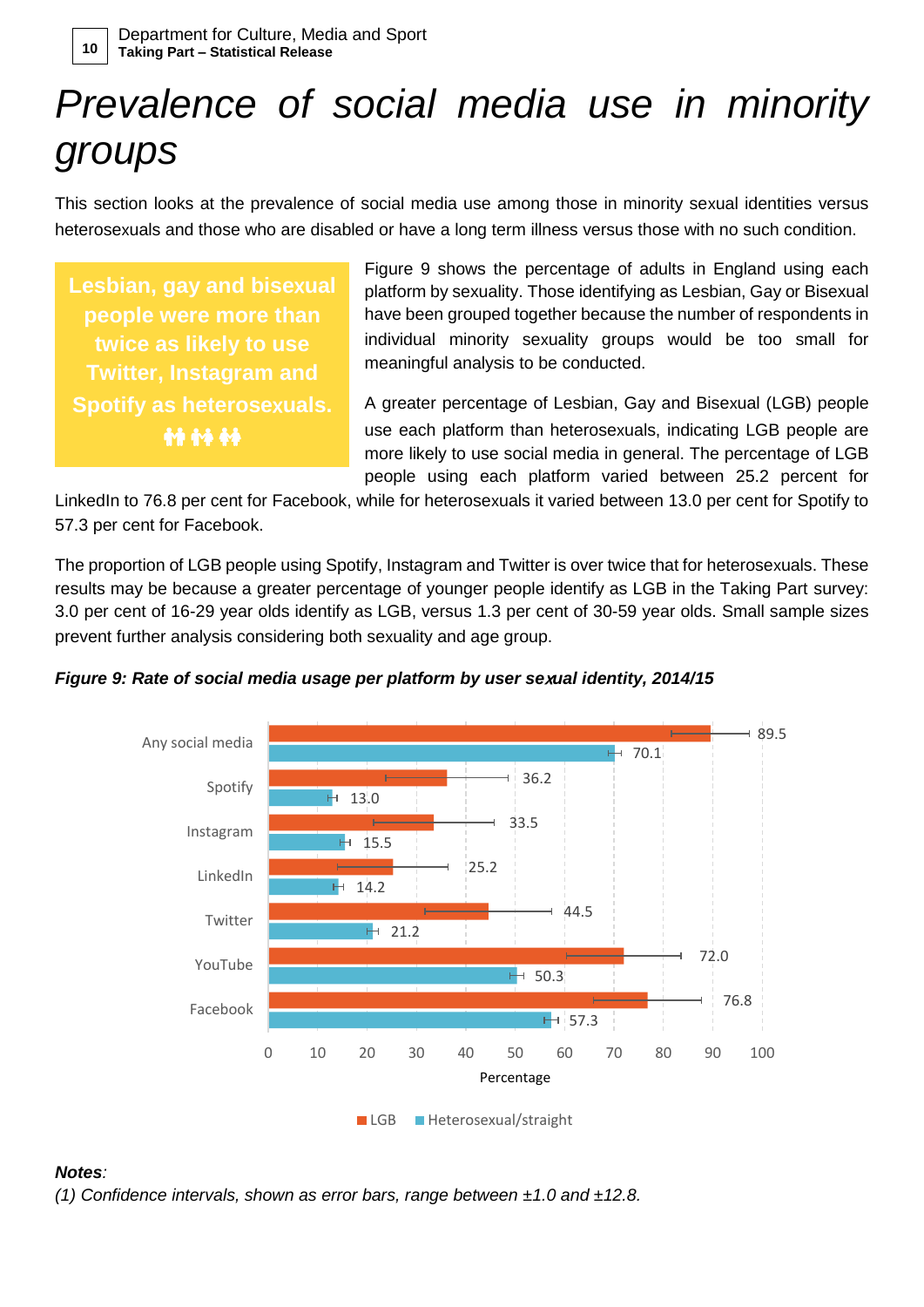# *Prevalence of social media use in minority groups*

This section looks at the prevalence of social media use among those in minority sexual identities versus heterosexuals and those who are disabled or have a long term illness versus those with no such condition.

**Lesbian, gay and bise**x**ual people were more than twice as likely to use Twitter, Instagram and Spotify as heterose**x**uals. 44 44 44** 

[Figure 9](#page-9-0) shows the percentage of adults in England using each platform by sexuality. Those identifying as Lesbian, Gay or Bisexual have been grouped together because the number of respondents in individual minority sexuality groups would be too small for meaningful analysis to be conducted.

A greater percentage of Lesbian, Gay and Bisexual (LGB) people use each platform than heterosexuals, indicating LGB people are more likely to use social media in general. The percentage of LGB people using each platform varied between 25.2 percent for

LinkedIn to 76.8 per cent for Facebook, while for heterosexuals it varied between 13.0 per cent for Spotify to 57.3 per cent for Facebook.

The proportion of LGB people using Spotify, Instagram and Twitter is over twice that for heterosexuals. These results may be because a greater percentage of younger people identify as LGB in the Taking Part survey: 3.0 per cent of 16-29 year olds identify as LGB, versus 1.3 per cent of 30-59 year olds. Small sample sizes prevent further analysis considering both sexuality and age group.



<span id="page-9-0"></span>

#### *Notes:*

*(1) Confidence intervals, shown as error bars, range between ±1.0 and ±12.8.*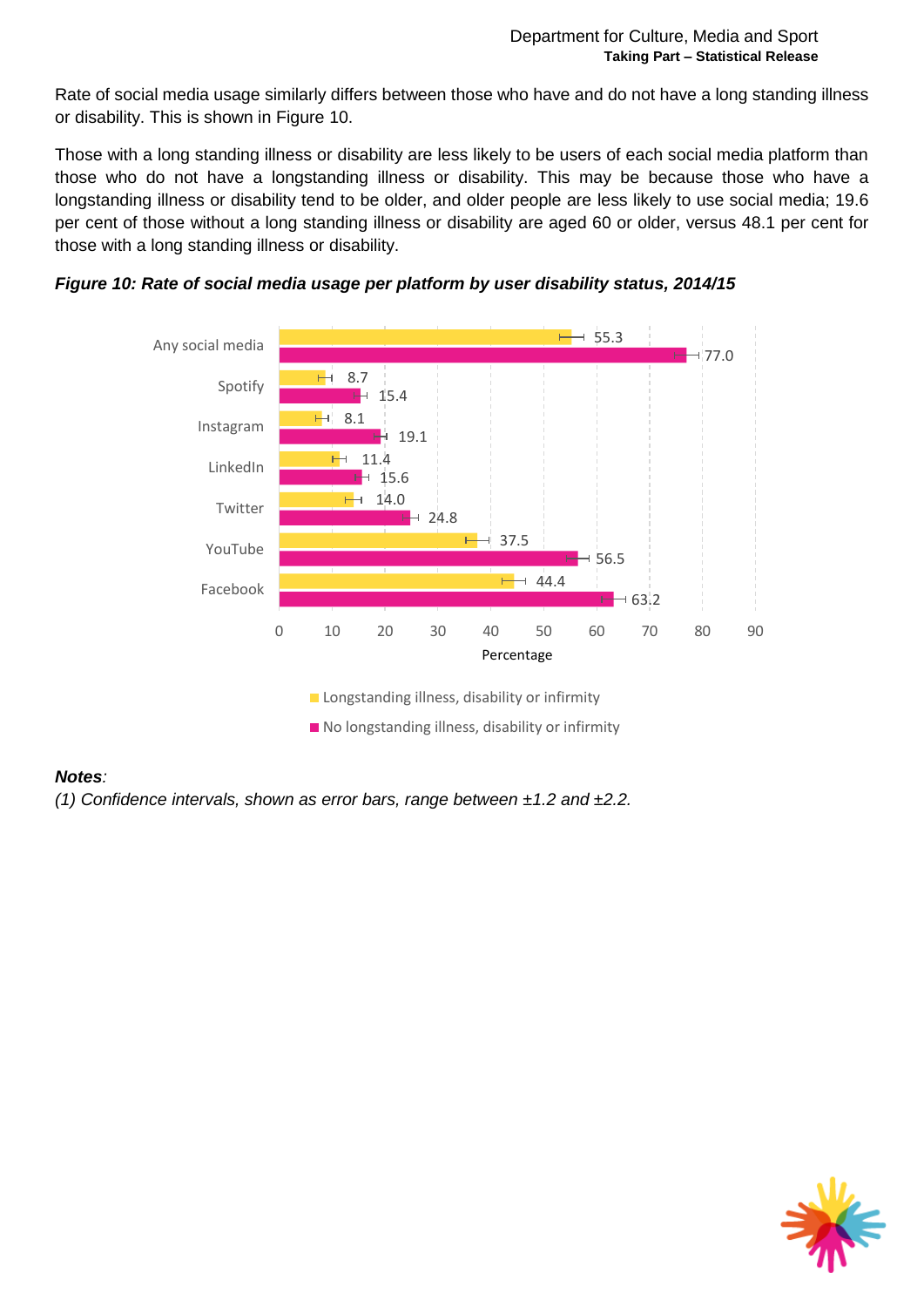Rate of social media usage similarly differs between those who have and do not have a long standing illness or disability. This is shown in [Figure 10.](#page-10-0)

Those with a long standing illness or disability are less likely to be users of each social media platform than those who do not have a longstanding illness or disability. This may be because those who have a longstanding illness or disability tend to be older, and older people are less likely to use social media; 19.6 per cent of those without a long standing illness or disability are aged 60 or older, versus 48.1 per cent for those with a long standing illness or disability.



<span id="page-10-0"></span>

#### *Notes:*

*(1) Confidence intervals, shown as error bars, range between ±1.2 and ±2.2.*

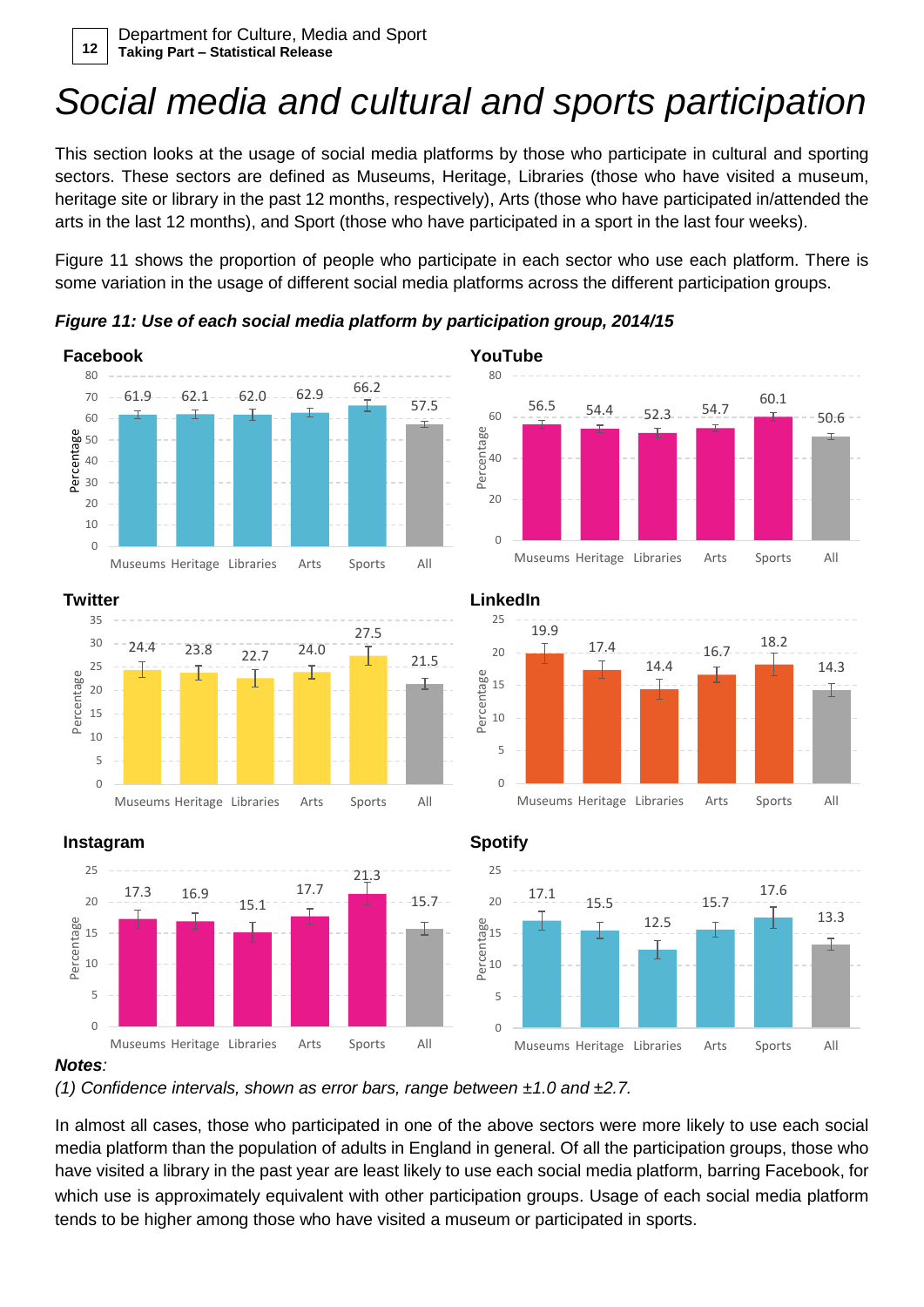### *Social media and cultural and sports participation*

This section looks at the usage of social media platforms by those who participate in cultural and sporting sectors. These sectors are defined as Museums, Heritage, Libraries (those who have visited a museum, heritage site or library in the past 12 months, respectively), Arts (those who have participated in/attended the arts in the last 12 months), and Sport (those who have participated in a sport in the last four weeks).

Figure 11 shows the proportion of people who participate in each sector who use each platform. There is some variation in the usage of different social media platforms across the different participation groups.

#### **Facebook YouTube**  $61.9 - -62.1 - -62.0 - -62.9 - -7$ 57.5  $\Omega$  $1<sub>0</sub>$ 20 30 40 50 60 70  $80$ Museums Heritage Libraries Arts Sports All Percentage



*Figure 11: Use of each social media platform by participation group, 2014/15*



### $\frac{56.5}{7}$  54.4 52.3 54.7 60.1 50.6  $\Omega$  $20$ 40 60 Museums Heritage Libraries Arts Sports All Percentage





#### **Instagram Spotify**





#### *Notes:*

*(1) Confidence intervals, shown as error bars, range between ±1.0 and ±2.7.*

In almost all cases, those who participated in one of the above sectors were more likely to use each social media platform than the population of adults in England in general. Of all the participation groups, those who have visited a library in the past year are least likely to use each social media platform, barring Facebook, for which use is approximately equivalent with other participation groups. Usage of each social media platform tends to be higher among those who have visited a museum or participated in sports.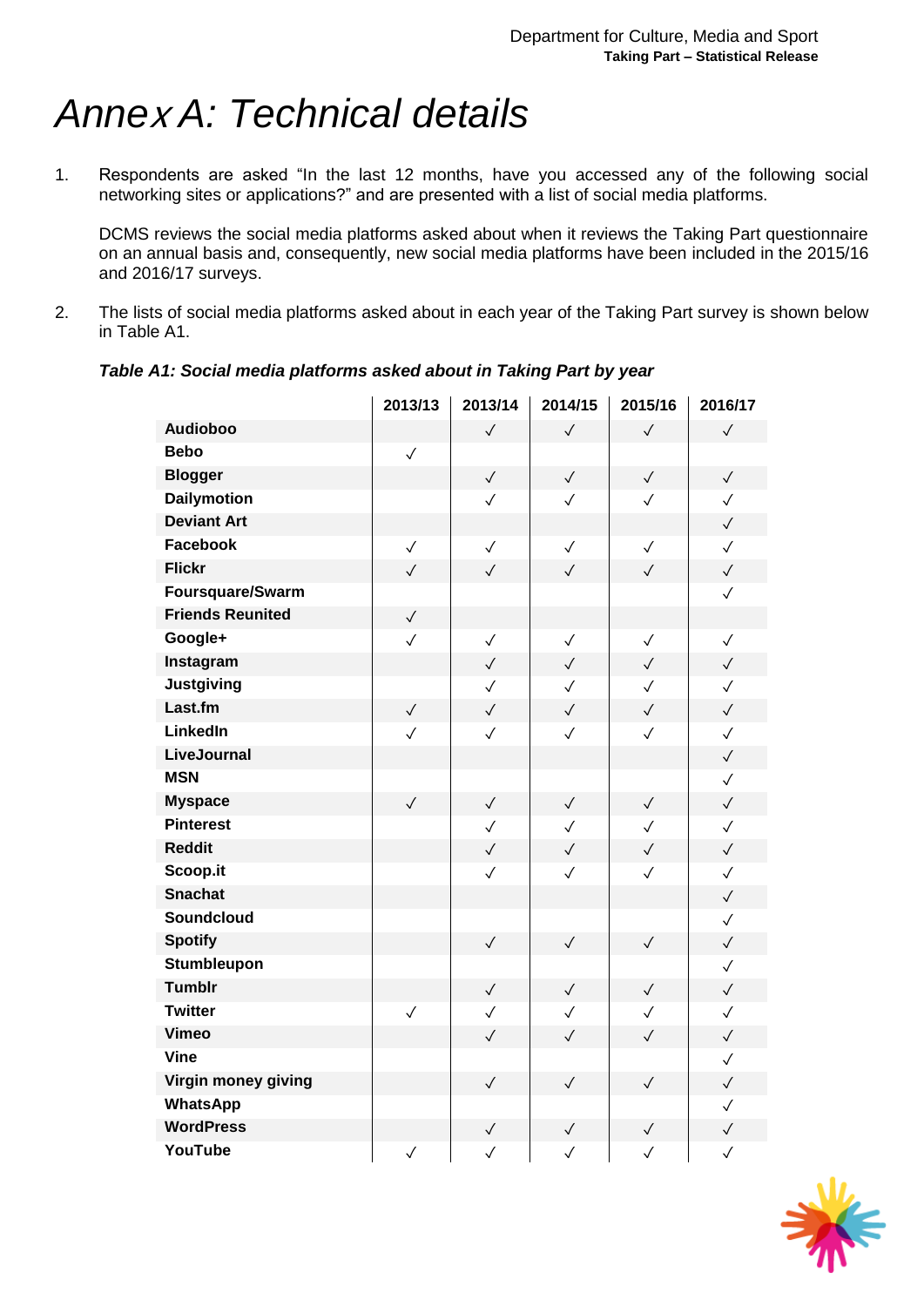### <span id="page-12-0"></span>*Anne*<sup>x</sup> *A: Technical details*

1. Respondents are asked "In the last 12 months, have you accessed any of the following social networking sites or applications?" and are presented with a list of social media platforms.

DCMS reviews the social media platforms asked about when it reviews the Taking Part questionnaire on an annual basis and, consequently, new social media platforms have been included in the 2015/16 and 2016/17 surveys.

2. The lists of social media platforms asked about in each year of the Taking Part survey is shown below in [Table A1.](#page-12-1)

|                         | 2013/13      | 2013/14      | 2014/15      | 2015/16      | 2016/17      |
|-------------------------|--------------|--------------|--------------|--------------|--------------|
| <b>Audioboo</b>         |              | $\checkmark$ | $\checkmark$ | $\checkmark$ | $\checkmark$ |
| <b>Bebo</b>             | $\checkmark$ |              |              |              |              |
| <b>Blogger</b>          |              | $\checkmark$ | $\checkmark$ | $\checkmark$ | $\checkmark$ |
| <b>Dailymotion</b>      |              | $\checkmark$ | $\checkmark$ | $\checkmark$ | $\checkmark$ |
| <b>Deviant Art</b>      |              |              |              |              | $\checkmark$ |
| <b>Facebook</b>         | $\checkmark$ | $\checkmark$ | $\checkmark$ | $\checkmark$ | $\checkmark$ |
| <b>Flickr</b>           | $\checkmark$ | $\checkmark$ | $\checkmark$ | $\checkmark$ | $\checkmark$ |
| Foursquare/Swarm        |              |              |              |              | $\checkmark$ |
| <b>Friends Reunited</b> | $\checkmark$ |              |              |              |              |
| Google+                 | $\checkmark$ | $\checkmark$ | $\checkmark$ | $\checkmark$ | $\checkmark$ |
| Instagram               |              | $\checkmark$ | $\checkmark$ | $\checkmark$ | $\checkmark$ |
| <b>Justgiving</b>       |              | $\checkmark$ | $\checkmark$ | $\checkmark$ | $\checkmark$ |
| Last.fm                 | $\checkmark$ | $\checkmark$ | $\checkmark$ | $\checkmark$ | $\checkmark$ |
| LinkedIn                | $\checkmark$ | $\checkmark$ | $\checkmark$ | $\checkmark$ | $\checkmark$ |
| LiveJournal             |              |              |              |              | $\checkmark$ |
| <b>MSN</b>              |              |              |              |              | $\checkmark$ |
| <b>Myspace</b>          | $\checkmark$ | $\checkmark$ | $\checkmark$ | $\checkmark$ | $\checkmark$ |
| <b>Pinterest</b>        |              | $\checkmark$ | $\checkmark$ | $\checkmark$ | $\checkmark$ |
| <b>Reddit</b>           |              | $\checkmark$ | $\checkmark$ | $\checkmark$ | $\checkmark$ |
| Scoop.it                |              | $\checkmark$ | $\checkmark$ | $\checkmark$ | $\checkmark$ |
| <b>Snachat</b>          |              |              |              |              | $\checkmark$ |
| <b>Soundcloud</b>       |              |              |              |              | $\checkmark$ |
| <b>Spotify</b>          |              | $\checkmark$ | $\checkmark$ | $\checkmark$ | $\checkmark$ |
| <b>Stumbleupon</b>      |              |              |              |              | $\checkmark$ |
| <b>Tumblr</b>           |              | $\checkmark$ | $\checkmark$ | $\checkmark$ | $\checkmark$ |
| <b>Twitter</b>          | $\checkmark$ | $\checkmark$ | $\checkmark$ | $\checkmark$ | $\checkmark$ |
| <b>Vimeo</b>            |              | $\checkmark$ | $\checkmark$ | $\checkmark$ | $\checkmark$ |
| <b>Vine</b>             |              |              |              |              | $\checkmark$ |
| Virgin money giving     |              | $\checkmark$ | $\checkmark$ | $\checkmark$ | $\checkmark$ |
| <b>WhatsApp</b>         |              |              |              |              | $\checkmark$ |
| <b>WordPress</b>        |              | $\checkmark$ | $\checkmark$ | $\checkmark$ | $\checkmark$ |
| YouTube                 | $\checkmark$ | $\checkmark$ | $\checkmark$ | $\checkmark$ | $\checkmark$ |

<span id="page-12-1"></span>*Table A1: Social media platforms asked about in Taking Part by year*

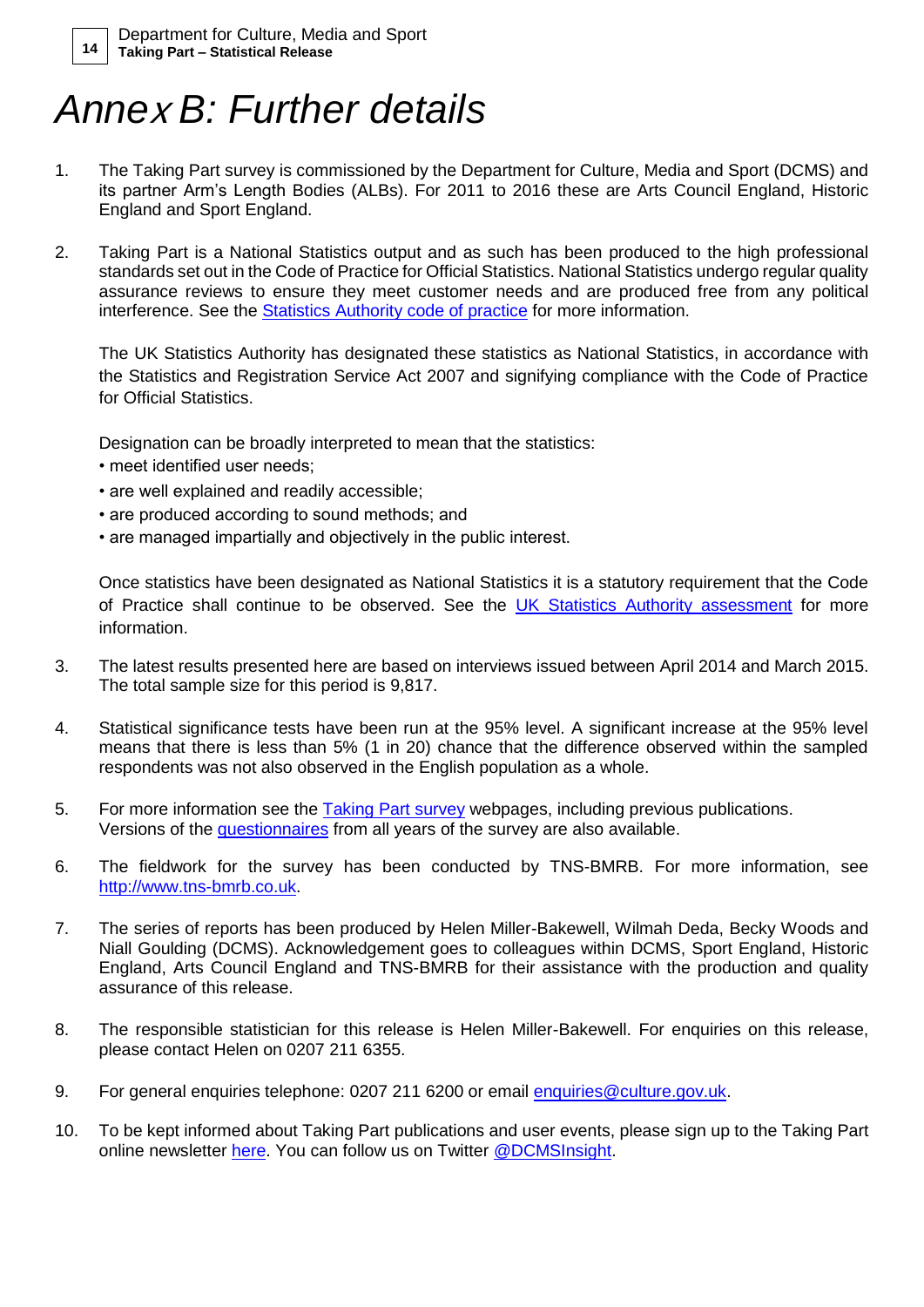### *Anne*<sup>x</sup> *B: Further details*

- 1. The Taking Part survey is commissioned by the Department for Culture, Media and Sport (DCMS) and its partner Arm's Length Bodies (ALBs). For 2011 to 2016 these are Arts Council England, Historic England and Sport England.
- 2. Taking Part is a National Statistics output and as such has been produced to the high professional standards set out in the Code of Practice for Official Statistics. National Statistics undergo regular quality assurance reviews to ensure they meet customer needs and are produced free from any political interference. See the [Statistics Authority code of practice](http://www.statisticsauthority.gov.uk/assessment/code-of-practice/code-of-practice-for-official-statistics.pdf) for more information.

The UK Statistics Authority has designated these statistics as National Statistics, in accordance with the Statistics and Registration Service Act 2007 and signifying compliance with the Code of Practice for Official Statistics.

Designation can be broadly interpreted to mean that the statistics:

- meet identified user needs;
- are well explained and readily accessible;
- are produced according to sound methods; and
- are managed impartially and objectively in the public interest.

Once statistics have been designated as National Statistics it is a statutory requirement that the Code of Practice shall continue to be observed. See the [UK Statistics Authority assessment](https://www.gov.uk/government/publications/uk-statistics-authority-assessment) for more information.

- 3. The latest results presented here are based on interviews issued between April 2014 and March 2015. The total sample size for this period is 9,817.
- 4. Statistical significance tests have been run at the 95% level. A significant increase at the 95% level means that there is less than 5% (1 in 20) chance that the difference observed within the sampled respondents was not also observed in the English population as a whole.
- 5. For more information see the [Taking Part survey](https://www.gov.uk/government/organisations/department-for-culture-media-sport/series/taking-part) webpages, including previous publications. Versions of the [questionnaires](https://www.gov.uk/government/publications/questionnaires) from all years of the survey are also available.
- 6. The fieldwork for the survey has been conducted by TNS-BMRB. For more information, see [http://www.tns-bmrb.co.uk.](http://www.tns-bmrb.co.uk/)
- 7. The series of reports has been produced by Helen Miller-Bakewell, Wilmah Deda, Becky Woods and Niall Goulding (DCMS). Acknowledgement goes to colleagues within DCMS, Sport England, Historic England, Arts Council England and TNS-BMRB for their assistance with the production and quality assurance of this release.
- 8. The responsible statistician for this release is Helen Miller-Bakewell. For enquiries on this release, please contact Helen on 0207 211 6355.
- 9. For general enquiries telephone: 0207 211 6200 or email [enquiries@culture.gov.uk.](mailto:enquiries@culture.gov.uk)
- 10. To be kept informed about Taking Part publications and user events, please sign up to the Taking Part online newsletter [here.](http://culture.us5.list-manage.com/subscribe?u=75369368ec98d5e713dae3779&id=f8b0e8d3ba) You can follow us on Twitter [@DCMSInsight.](http://www.twitter.com/dcmsinsight)